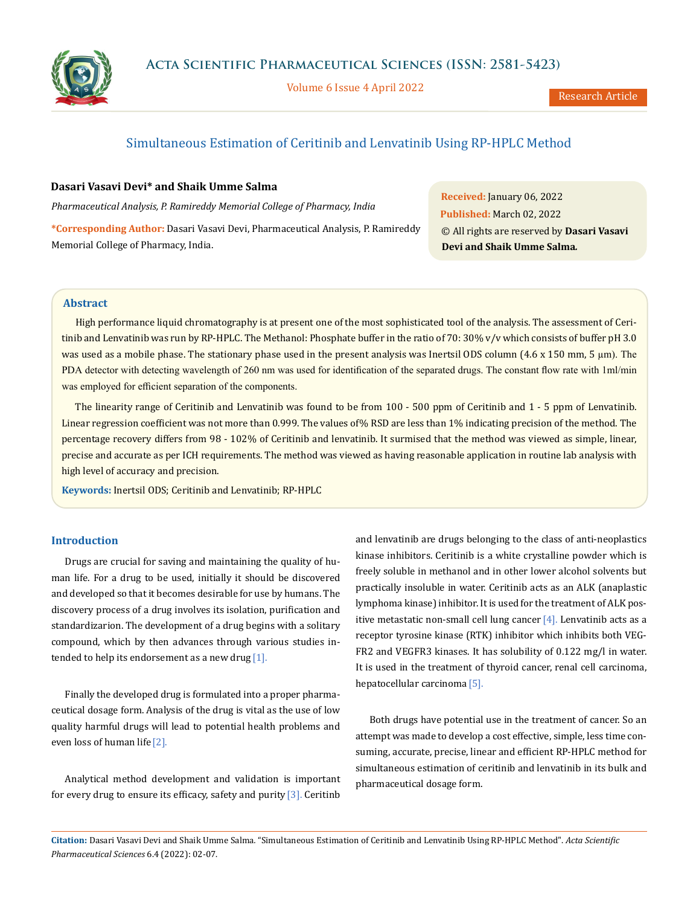

Volume 6 Issue 4 April 2022

# Simultaneous Estimation of Ceritinib and Lenvatinib Using RP-HPLC Method

# **Dasari Vasavi Devi\* and Shaik Umme Salma**

*Pharmaceutical Analysis, P. Ramireddy Memorial College of Pharmacy, India*

**\*Corresponding Author:** Dasari Vasavi Devi, Pharmaceutical Analysis, P. Ramireddy Memorial College of Pharmacy, India.

**Received:** January 06, 2022 **Published:** March 02, 2022 © All rights are reserved by **Dasari Vasavi Devi and Shaik Umme Salma***.*

# **Abstract**

High performance liquid chromatography is at present one of the most sophisticated tool of the analysis. The assessment of Ceritinib and Lenvatinib was run by RP-HPLC. The Methanol: Phosphate buffer in the ratio of 70: 30% v/v which consists of buffer pH 3.0 was used as a mobile phase. The stationary phase used in the present analysis was Inertsil ODS column (4.6 x 150 mm, 5 µm). The PDA detector with detecting wavelength of 260 nm was used for identification of the separated drugs. The constant flow rate with 1ml/min was employed for efficient separation of the components.

The linearity range of Ceritinib and Lenvatinib was found to be from 100 - 500 ppm of Ceritinib and 1 - 5 ppm of Lenvatinib. Linear regression coefficient was not more than 0.999. The values of% RSD are less than 1% indicating precision of the method. The percentage recovery differs from 98 - 102% of Ceritinib and lenvatinib. It surmised that the method was viewed as simple, linear, precise and accurate as per ICH requirements. The method was viewed as having reasonable application in routine lab analysis with high level of accuracy and precision.

**Keywords:** Inertsil ODS; Ceritinib and Lenvatinib; RP-HPLC

# **Introduction**

Drugs are crucial for saving and maintaining the quality of human life. For a drug to be used, initially it should be discovered and developed so that it becomes desirable for use by humans. The discovery process of a drug involves its isolation, purification and standardizarion. The development of a drug begins with a solitary compound, which by then advances through various studies intended to help its endorsement as a new drug  $[1]$ .

Finally the developed drug is formulated into a proper pharmaceutical dosage form. Analysis of the drug is vital as the use of low quality harmful drugs will lead to potential health problems and even loss of human life [2].

Analytical method development and validation is important for every drug to ensure its efficacy, safety and purity  $[3]$ . Ceritinb and lenvatinib are drugs belonging to the class of anti-neoplastics kinase inhibitors. Ceritinib is a white crystalline powder which is freely soluble in methanol and in other lower alcohol solvents but practically insoluble in water. Ceritinib acts as an ALK (anaplastic lymphoma kinase) inhibitor. It is used for the treatment of ALK positive metastatic non-small cell lung cancer  $[4]$ . Lenvatinib acts as a receptor tyrosine kinase (RTK) inhibitor which inhibits both VEG-FR2 and VEGFR3 kinases. It has solubility of 0.122 mg/l in water. It is used in the treatment of thyroid cancer, renal cell carcinoma, hepatocellular carcinoma [5].

Both drugs have potential use in the treatment of cancer. So an attempt was made to develop a cost effective, simple, less time consuming, accurate, precise, linear and efficient RP-HPLC method for simultaneous estimation of ceritinib and lenvatinib in its bulk and pharmaceutical dosage form.

**Citation:** Dasari Vasavi Devi and Shaik Umme Salma*.* "Simultaneous Estimation of Ceritinib and Lenvatinib Using RP-HPLC Method". *Acta Scientific Pharmaceutical Sciences* 6.4 (2022): 02-07.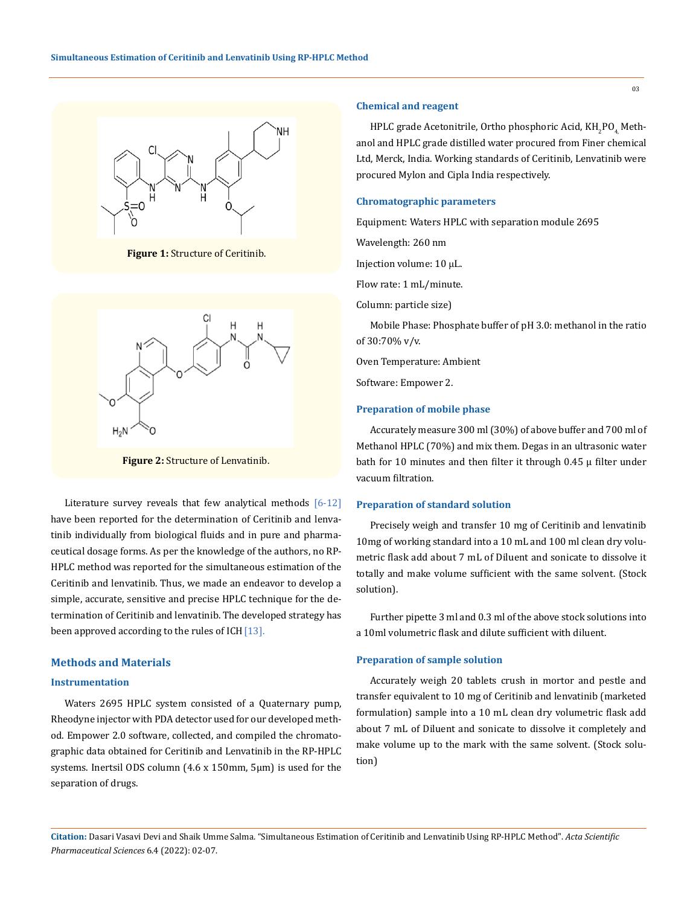

**Figure 1:** Structure of Ceritinib.



**Figure 2:** Structure of Lenvatinib.

Literature survey reveals that few analytical methods [6-12] have been reported for the determination of Ceritinib and lenvatinib individually from biological fluids and in pure and pharmaceutical dosage forms. As per the knowledge of the authors, no RP-HPLC method was reported for the simultaneous estimation of the Ceritinib and lenvatinib. Thus, we made an endeavor to develop a simple, accurate, sensitive and precise HPLC technique for the determination of Ceritinib and lenvatinib. The developed strategy has been approved according to the rules of  $ICH[13]$ .

# **Methods and Materials**

# **Instrumentation**

Waters 2695 HPLC system consisted of a Quaternary pump, Rheodyne injector with PDA detector used for our developed method. Empower 2.0 software, collected, and compiled the chromatographic data obtained for Ceritinib and Lenvatinib in the RP-HPLC systems. Inertsil ODS column (4.6 x 150mm, 5μm) is used for the separation of drugs.

# **Chemical and reagent**

HPLC grade Acetonitrile, Ortho phosphoric Acid, KH<sub>2</sub>PO<sub>4,</sub> Methanol and HPLC grade distilled water procured from Finer chemical Ltd, Merck, India. Working standards of Ceritinib, Lenvatinib were procured Mylon and Cipla India respectively.

# **Chromatographic parameters**

Equipment: Waters HPLC with separation module 2695

Wavelength: 260 nm

Injection volume: 10 μL.

Flow rate: 1 mL/minute.

Column: particle size)

Mobile Phase: Phosphate buffer of pH 3.0: methanol in the ratio of 30:70% v/v.

Oven Temperature: Ambient

Software: Empower 2.

# **Preparation of mobile phase**

Accurately measure 300 ml (30%) of above buffer and 700 ml of Methanol HPLC (70%) and mix them. Degas in an ultrasonic water bath for 10 minutes and then filter it through  $0.45 \mu$  filter under vacuum filtration.

### **Preparation of standard solution**

Precisely weigh and transfer 10 mg of Ceritinib and lenvatinib 10mg of working standard into a 10 mL and 100 ml clean dry volumetric flask add about 7 mL of Diluent and sonicate to dissolve it totally and make volume sufficient with the same solvent. (Stock solution).

Further pipette 3 ml and 0.3 ml of the above stock solutions into a 10ml volumetric flask and dilute sufficient with diluent.

# **Preparation of sample solution**

Accurately weigh 20 tablets crush in mortor and pestle and transfer equivalent to 10 mg of Ceritinib and lenvatinib (marketed formulation) sample into a 10 mL clean dry volumetric flask add about 7 mL of Diluent and sonicate to dissolve it completely and make volume up to the mark with the same solvent. (Stock solution)

**Citation:** Dasari Vasavi Devi and Shaik Umme Salma*.* "Simultaneous Estimation of Ceritinib and Lenvatinib Using RP-HPLC Method". *Acta Scientific Pharmaceutical Sciences* 6.4 (2022): 02-07.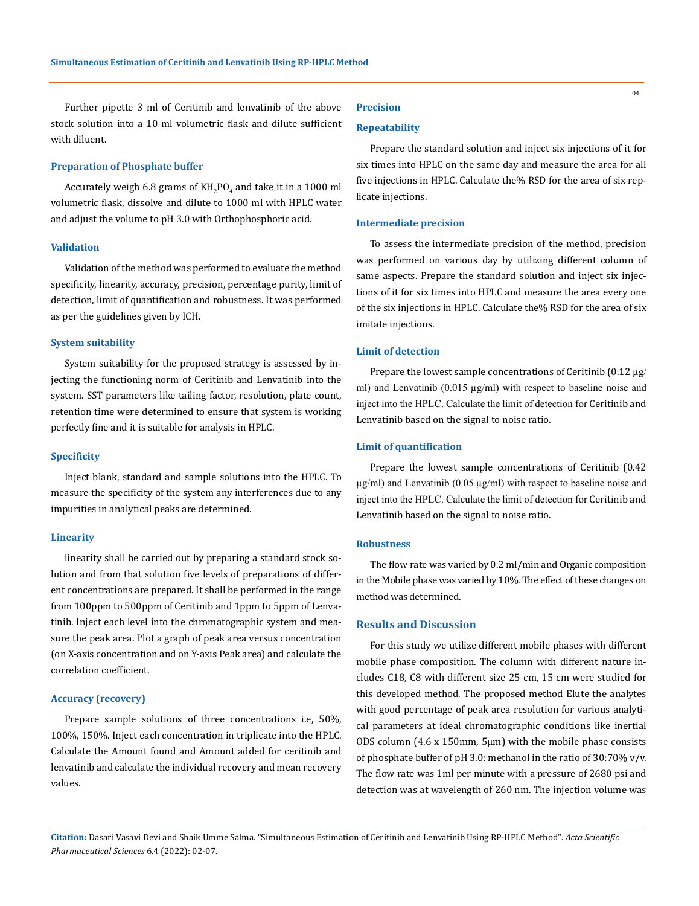Further pipette 3 ml of Ceritinib and lenvatinib of the above stock solution into a 10 ml volumetric flask and dilute sufficient with diluent.

# **Preparation of Phosphate buffer**

Accurately weigh 6.8 grams of  $KH_{2}PO_{4}$  and take it in a  $1000$  ml volumetric flask, dissolve and dilute to 1000 ml with HPLC water and adjust the volume to pH 3.0 with Orthophosphoric acid.

### **Validation**

Validation of the method was performed to evaluate the method specificity, linearity, accuracy, precision, percentage purity, limit of detection, limit of quantification and robustness. It was performed as per the guidelines given by ICH.

#### **System suitability**

System suitability for the proposed strategy is assessed by injecting the functioning norm of Ceritinib and Lenvatinib into the system. SST parameters like tailing factor, resolution, plate count, retention time were determined to ensure that system is working perfectly fine and it is suitable for analysis in HPLC.

#### **Specificity**

Inject blank, standard and sample solutions into the HPLC. To measure the specificity of the system any interferences due to any impurities in analytical peaks are determined.

#### **Linearity**

linearity shall be carried out by preparing a standard stock solution and from that solution five levels of preparations of different concentrations are prepared. It shall be performed in the range from 100ppm to 500ppm of Ceritinib and 1ppm to 5ppm of Lenvatinib. Inject each level into the chromatographic system and measure the peak area. Plot a graph of peak area versus concentration (on X-axis concentration and on Y-axis Peak area) and calculate the correlation coefficient.

#### **Accuracy (recovery)**

Prepare sample solutions of three concentrations i.e, 50%, 100%, 150%. Inject each concentration in triplicate into the HPLC. Calculate the Amount found and Amount added for ceritinib and lenvatinib and calculate the individual recovery and mean recovery values.

# **Precision**

# **Repeatability**

Prepare the standard solution and inject six injections of it for six times into HPLC on the same day and measure the area for all five injections in HPLC. Calculate the% RSD for the area of six replicate injections.

#### **Intermediate precision**

To assess the intermediate precision of the method, precision was performed on various day by utilizing different column of same aspects. Prepare the standard solution and inject six injections of it for six times into HPLC and measure the area every one of the six injections in HPLC. Calculate the% RSD for the area of six imitate injections.

# **Limit of detection**

Prepare the lowest sample concentrations of Ceritinib  $(0.12 \mu g$ / ml) and Lenvatinib (0.015 µg/ml) with respect to baseline noise and inject into the HPLC. Calculate the limit of detection for Ceritinib and Lenvatinib based on the signal to noise ratio.

# **Limit of quantification**

Prepare the lowest sample concentrations of Ceritinib (0.42  $\mu$ g/ml) and Lenvatinib (0.05  $\mu$ g/ml) with respect to baseline noise and inject into the HPLC. Calculate the limit of detection for Ceritinib and Lenvatinib based on the signal to noise ratio.

# **Robustness**

The flow rate was varied by 0.2 ml/min and Organic composition in the Mobile phase was varied by 10%. The effect of these changes on method was determined.

# **Results and Discussion**

For this study we utilize different mobile phases with different mobile phase composition. The column with different nature includes C18, C8 with different size 25 cm, 15 cm were studied for this developed method. The proposed method Elute the analytes with good percentage of peak area resolution for various analytical parameters at ideal chromatographic conditions like inertial ODS column (4.6 x 150mm, 5μm) with the mobile phase consists of phosphate buffer of pH 3.0: methanol in the ratio of 30:70% v/v. The flow rate was 1ml per minute with a pressure of 2680 psi and detection was at wavelength of 260 nm. The injection volume was

**Citation:** Dasari Vasavi Devi and Shaik Umme Salma*.* "Simultaneous Estimation of Ceritinib and Lenvatinib Using RP-HPLC Method". *Acta Scientific Pharmaceutical Sciences* 6.4 (2022): 02-07.

04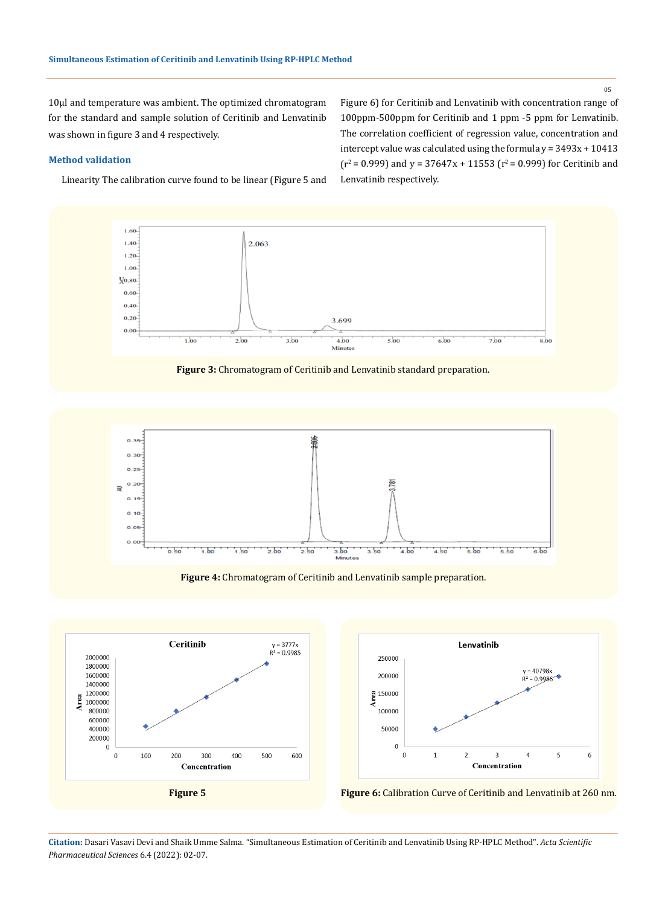10µl and temperature was ambient. The optimized chromatogram for the standard and sample solution of Ceritinib and Lenvatinib was shown in figure 3 and 4 respectively.

# **Method validation**

Linearity The calibration curve found to be linear (Figure 5 and

Figure 6) for Ceritinib and Lenvatinib with concentration range of 100ppm-500ppm for Ceritinib and 1 ppm -5 ppm for Lenvatinib. The correlation coefficient of regression value, concentration and intercept value was calculated using the formula  $y = 3493x + 10413$  $(r^2 = 0.999)$  and y = 37647x + 11553 ( $r^2 = 0.999$ ) for Ceritinib and Lenvatinib respectively.







**Figure 4:** Chromatogram of Ceritinib and Lenvatinib sample preparation.







**Citation:** Dasari Vasavi Devi and Shaik Umme Salma*.* "Simultaneous Estimation of Ceritinib and Lenvatinib Using RP-HPLC Method". *Acta Scientific Pharmaceutical Sciences* 6.4 (2022): 02-07.

05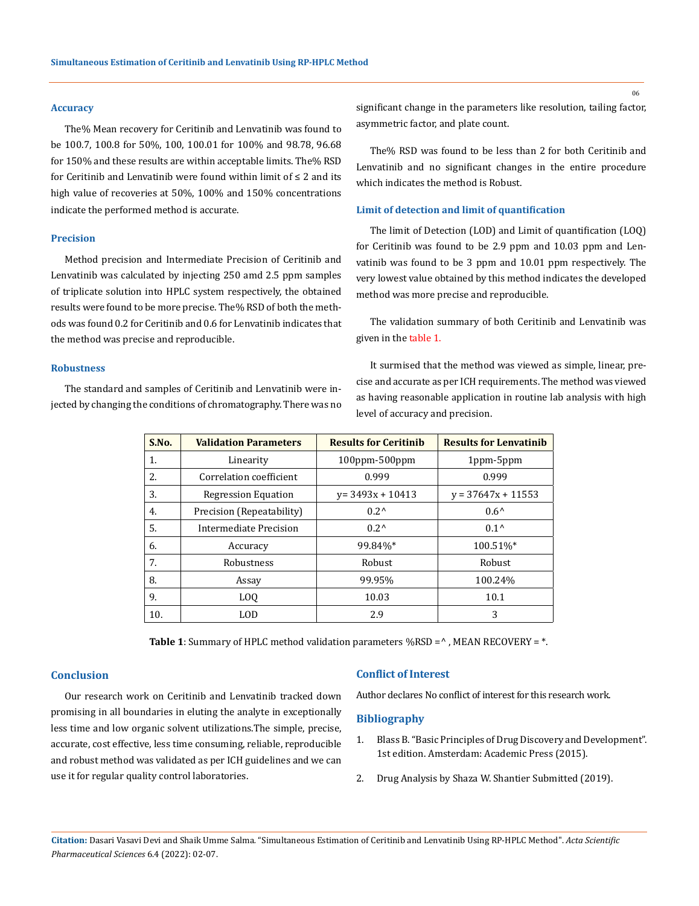### **Accuracy**

The% Mean recovery for Ceritinib and Lenvatinib was found to be 100.7, 100.8 for 50%, 100, 100.01 for 100% and 98.78, 96.68 for 150% and these results are within acceptable limits. The% RSD for Ceritinib and Lenvatinib were found within limit of ≤ 2 and its high value of recoveries at 50%, 100% and 150% concentrations indicate the performed method is accurate.

### **Precision**

Method precision and Intermediate Precision of Ceritinib and Lenvatinib was calculated by injecting 250 amd 2.5 ppm samples of triplicate solution into HPLC system respectively, the obtained results were found to be more precise. The% RSD of both the methods was found 0.2 for Ceritinib and 0.6 for Lenvatinib indicates that the method was precise and reproducible.

#### **Robustness**

The standard and samples of Ceritinib and Lenvatinib were injected by changing the conditions of chromatography. There was no significant change in the parameters like resolution, tailing factor, asymmetric factor, and plate count.

The% RSD was found to be less than 2 for both Ceritinib and Lenvatinib and no significant changes in the entire procedure which indicates the method is Robust.

# **Limit of detection and limit of quantification**

The limit of Detection (LOD) and Limit of quantification (LOQ) for Ceritinib was found to be 2.9 ppm and 10.03 ppm and Lenvatinib was found to be 3 ppm and 10.01 ppm respectively. The very lowest value obtained by this method indicates the developed method was more precise and reproducible.

The validation summary of both Ceritinib and Lenvatinib was given in the table 1.

It surmised that the method was viewed as simple, linear, precise and accurate as per ICH requirements. The method was viewed as having reasonable application in routine lab analysis with high level of accuracy and precision.

| S.No. | <b>Validation Parameters</b> | <b>Results for Ceritinib</b> | <b>Results for Lenvatinib</b> |
|-------|------------------------------|------------------------------|-------------------------------|
| 1.    | Linearity                    | $100$ ppm- $500$ ppm         | 1ppm-5ppm                     |
| 2.    | Correlation coefficient      | 0.999                        | 0.999                         |
| 3.    | <b>Regression Equation</b>   | $v = 3493x + 10413$          | $v = 37647x + 11553$          |
| 4.    | Precision (Repeatability)    | $0.2^{\wedge}$               | $0.6^{\circ}$                 |
| 5.    | Intermediate Precision       | $0.2^{\prime}$               | $0.1^{\circ}$                 |
| 6.    | Accuracy                     | 99.84%*                      | 100.51%*                      |
| 7.    | Robustness                   | Robust                       | Robust                        |
| 8.    | Assay                        | 99.95%                       | 100.24%                       |
| 9.    | L <sub>0</sub>               | 10.03                        | 10.1                          |
| 10.   | LOD                          | 2.9                          | 3                             |

**Table 1**: Summary of HPLC method validation parameters %RSD =  $\textdegree$ , MEAN RECOVERY =  $\textdegree$ .

# **Conclusion**

Our research work on Ceritinib and Lenvatinib tracked down promising in all boundaries in eluting the analyte in exceptionally less time and low organic solvent utilizations.The simple, precise, accurate, cost effective, less time consuming, reliable, reproducible and robust method was validated as per ICH guidelines and we can use it for regular quality control laboratories.

### **Conflict of Interest**

Author declares No conflict of interest for this research work.

# **Bibliography**

- 1. [Blass B. "Basic Principles of Drug Discovery and Development".](https://www.elsevier.com/books/basic-principles-of-drug-discovery-and-development/blass/978-0-12-411508-8) [1st edition. Amsterdam: Academic Press \(2015\).](https://www.elsevier.com/books/basic-principles-of-drug-discovery-and-development/blass/978-0-12-411508-8)
- 2. [Drug Analysis by Shaza W. Shantier Submitted \(2019\).](https://www.intechopen.com/chapters/68656)

06